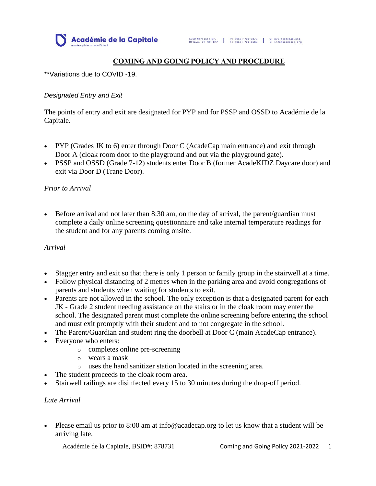

# **COMING AND GOING POLICY AND PROCEDURE**

\*\*Variations due to COVID -19.

### *Designated Entry and Exit*

The points of entry and exit are designated for PYP and for PSSP and OSSD to Académie de la Capitale.

- PYP (Grades JK to 6) enter through Door C (AcadeCap main entrance) and exit through Door A (cloak room door to the playground and out via the playground gate).
- PSSP and OSSD (Grade 7-12) students enter Door B (former AcadeKIDZ Daycare door) and exit via Door D (Trane Door).

### *Prior to Arrival*

• Before arrival and not later than 8:30 am, on the day of arrival, the parent/guardian must complete a daily online screening questionnaire and take internal temperature readings for the student and for any parents coming onsite.

#### *Arrival*

- Stagger entry and exit so that there is only 1 person or family group in the stairwell at a time.
- Follow physical distancing of 2 metres when in the parking area and avoid congregations of parents and students when waiting for students to exit.
- Parents are not allowed in the school. The only exception is that a designated parent for each JK - Grade 2 student needing assistance on the stairs or in the cloak room may enter the school. The designated parent must complete the online screening before entering the school and must exit promptly with their student and to not congregate in the school.
- The Parent/Guardian and student ring the doorbell at Door C (main AcadeCap entrance).
- Everyone who enters:
	- o completes online pre-screening
	- o wears a mask
	- o uses the hand sanitizer station located in the screening area.
- The student proceeds to the cloak room area.
- Stairwell railings are disinfected every 15 to 30 minutes during the drop-off period.

## *Late Arrival*

• Please email us prior to 8:00 am at info@acadecap.org to let us know that a student will be arriving late.